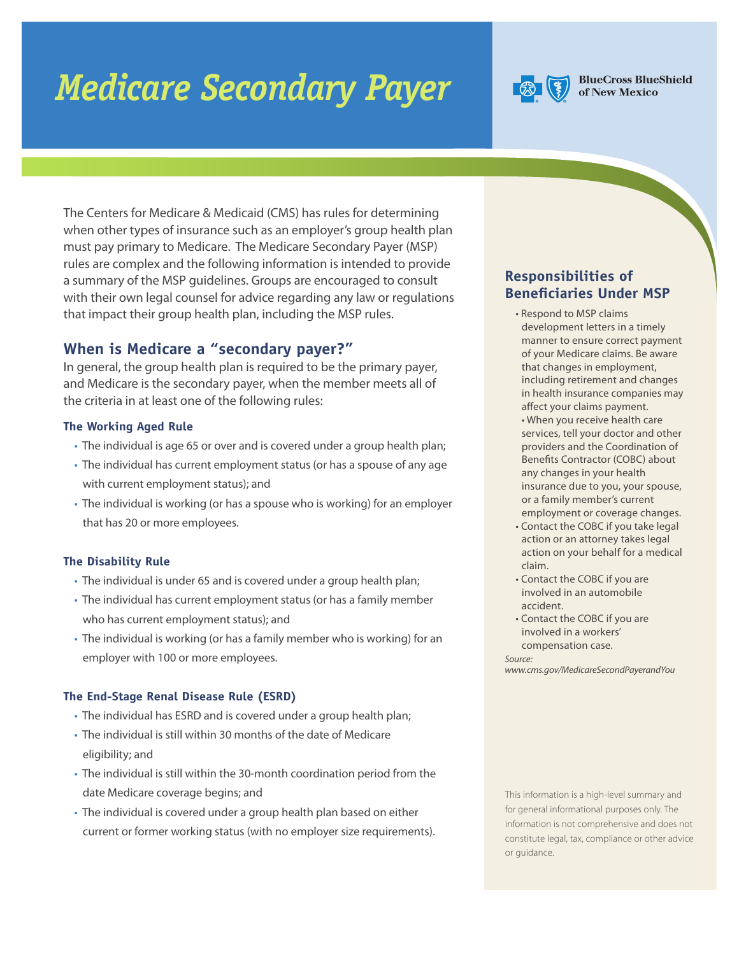# *Medicare Secondary Payer*



**BlueCross BlueShield** of New Mexico

The Centers for Medicare & Medicaid (CMS) has rules for determining when other types of insurance such as an employer's group health plan must pay primary to Medicare. The Medicare Secondary Payer (MSP) rules are complex and the following information is intended to provide a summary of the MSP guidelines. Groups are encouraged to consult with their own legal counsel for advice regarding any law or regulations that impact their group health plan, including the MSP rules.

## **When is Medicare a "secondary payer?"**

In general, the group health plan is required to be the primary payer, and Medicare is the secondary payer, when the member meets all of the criteria in at least one of the following rules:

### **The Working Aged Rule**

- The individual is age 65 or over and is covered under a group health plan;
- The individual has current employment status (or has a spouse of any age with current employment status); and
- The individual is working (or has a spouse who is working) for an employer that has 20 or more employees.

## **The Disability Rule**

- The individual is under 65 and is covered under a group health plan;
- The individual has current employment status (or has a family member who has current employment status); and
- The individual is working (or has a family member who is working) for an employer with 100 or more employees.

#### **The End-Stage Renal Disease Rule (ESRD)**

- The individual has ESRD and is covered under a group health plan;
- The individual is still within 30 months of the date of Medicare eligibility; and
- The individual is still within the 30-month coordination period from the date Medicare coverage begins; and
- The individual is covered under a group health plan based on either current or former working status (with no employer size requirements).

## **Responsibilities of Beneficiaries Under MSP**

- Respond to MSP claims development letters in a timely manner to ensure correct payment of your Medicare claims. Be aware that changes in employment, including retirement and changes in health insurance companies may affect your claims payment. • When you receive health care services, tell your doctor and other providers and the Coordination of Benefits Contractor (COBC) about any changes in your health insurance due to you, your spouse, or a family member's current employment or coverage changes.
- Contact the COBC if you take legal action or an attorney takes legal action on your behalf for a medical claim.
- Contact the COBC if you are involved in an automobile accident.
- Contact the COBC if you are involved in a workers' compensation case.

*Source:* 

*www.cms.gov/MedicareSecondPayerandYou*

This information is a high-level summary and for general informational purposes only. The information is not comprehensive and does not constitute legal, tax, compliance or other advice or guidance.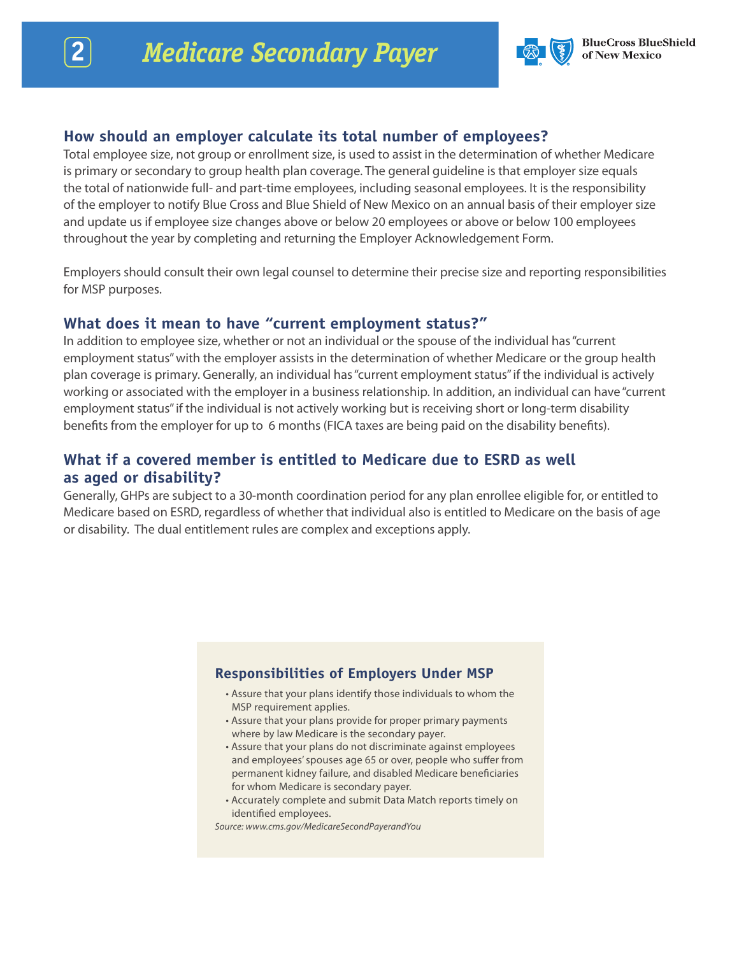

## **How should an employer calculate its total number of employees?**

Total employee size, not group or enrollment size, is used to assist in the determination of whether Medicare is primary or secondary to group health plan coverage. The general guideline is that employer size equals the total of nationwide full- and part-time employees, including seasonal employees. It is the responsibility of the employer to notify Blue Cross and Blue Shield of New Mexico on an annual basis of their employer size and update us if employee size changes above or below 20 employees or above or below 100 employees throughout the year by completing and returning the Employer Acknowledgement Form.

Employers should consult their own legal counsel to determine their precise size and reporting responsibilities for MSP purposes.

# **What does it mean to have "current employment status?"**

In addition to employee size, whether or not an individual or the spouse of the individual has "current employment status" with the employer assists in the determination of whether Medicare or the group health plan coverage is primary. Generally, an individual has "current employment status" if the individual is actively working or associated with the employer in a business relationship. In addition, an individual can have "current employment status" if the individual is not actively working but is receiving short or long-term disability benefits from the employer for up to 6 months (FICA taxes are being paid on the disability benefits).

# **What if a covered member is entitled to Medicare due to ESRD as well as aged or disability?**

Generally, GHPs are subject to a 30-month coordination period for any plan enrollee eligible for, or entitled to Medicare based on ESRD, regardless of whether that individual also is entitled to Medicare on the basis of age or disability. The dual entitlement rules are complex and exceptions apply.

## **Responsibilities of Employers Under MSP**

- Assure that your plans identify those individuals to whom the MSP requirement applies.
- Assure that your plans provide for proper primary payments where by law Medicare is the secondary payer.
- Assure that your plans do not discriminate against employees and employees' spouses age 65 or over, people who suffer from permanent kidney failure, and disabled Medicare beneficiaries for whom Medicare is secondary payer.
- Accurately complete and submit Data Match reports timely on identified employees.

*Source: www.cms.gov/MedicareSecondPayerandYou*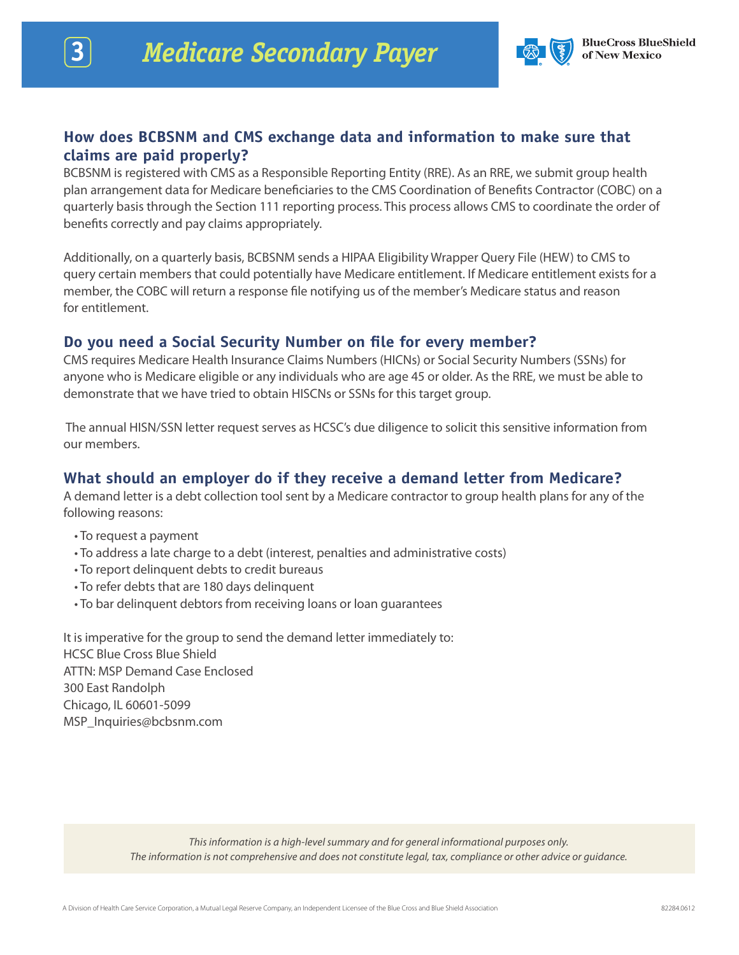

## **How does BCBSNM and CMS exchange data and information to make sure that claims are paid properly?**

BCBSNM is registered with CMS as a Responsible Reporting Entity (RRE). As an RRE, we submit group health plan arrangement data for Medicare beneficiaries to the CMS Coordination of Benefits Contractor (COBC) on a quarterly basis through the Section 111 reporting process. This process allows CMS to coordinate the order of benefits correctly and pay claims appropriately.

Additionally, on a quarterly basis, BCBSNM sends a HIPAA Eligibility Wrapper Query File (HEW) to CMS to query certain members that could potentially have Medicare entitlement. If Medicare entitlement exists for a member, the COBC will return a response file notifying us of the member's Medicare status and reason for entitlement.

# **Do you need a Social Security Number on file for every member?**

CMS requires Medicare Health Insurance Claims Numbers (HICNs) or Social Security Numbers (SSNs) for anyone who is Medicare eligible or any individuals who are age 45 or older. As the RRE, we must be able to demonstrate that we have tried to obtain HISCNs or SSNs for this target group.

 The annual HISN/SSN letter request serves as HCSC's due diligence to solicit this sensitive information from our members.

# **What should an employer do if they receive a demand letter from Medicare?**

A demand letter is a debt collection tool sent by a Medicare contractor to group health plans for any of the following reasons:

- To request a payment
- To address a late charge to a debt (interest, penalties and administrative costs)
- To report delinquent debts to credit bureaus
- To refer debts that are 180 days delinquent
- To bar delinquent debtors from receiving loans or loan guarantees

It is imperative for the group to send the demand letter immediately to: HCSC Blue Cross Blue Shield ATTN: MSP Demand Case Enclosed 300 East Randolph Chicago, IL 60601-5099 MSP\_Inquiries@bcbsnm.com

> *This information is a high-level summary and for general informational purposes only. The information is not comprehensive and does not constitute legal, tax, compliance or other advice or guidance.*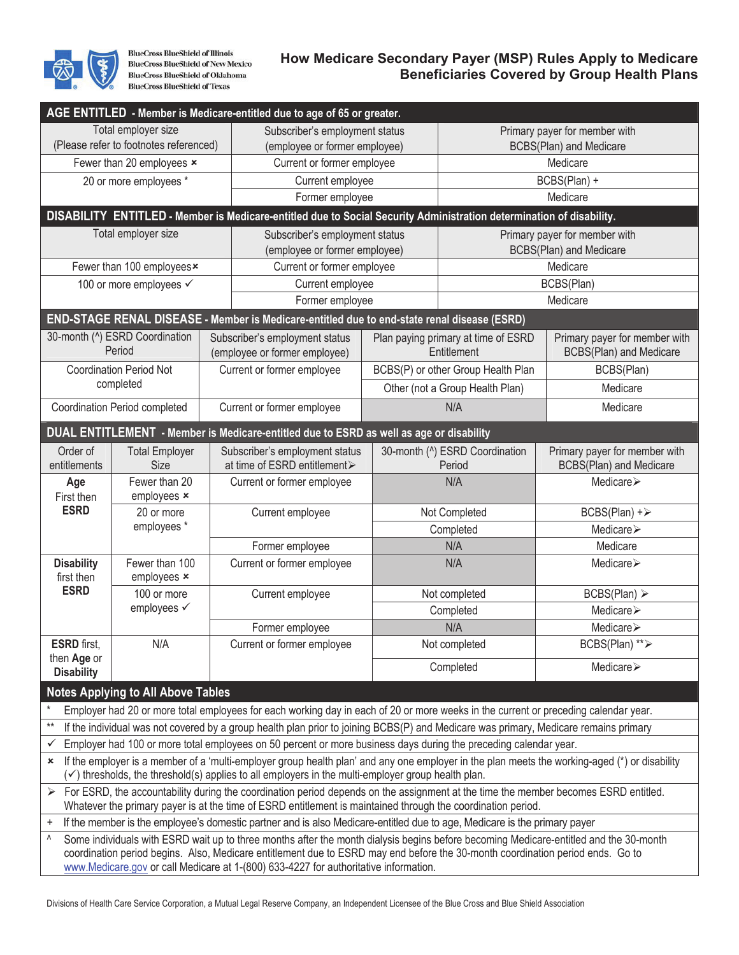

**BlueCross BlueShield of Illinois BlueCross BlueShield of New Mexico BlueCross BlueShield of Oklahoma BlueCross BlueShield of Texas** 

## **How Medicare Secondary Payer (MSP) Rules Apply to Medicare Beneficiaries Covered by Group Health Plans**

|                                                                                                                                                                                                                                                     |                                             | AGE ENTITLED - Member is Medicare-entitled due to age of 65 or greater.                                                                                                                                                |                                |                                                    |                                    |                                                                                                                                               |  |
|-----------------------------------------------------------------------------------------------------------------------------------------------------------------------------------------------------------------------------------------------------|---------------------------------------------|------------------------------------------------------------------------------------------------------------------------------------------------------------------------------------------------------------------------|--------------------------------|----------------------------------------------------|------------------------------------|-----------------------------------------------------------------------------------------------------------------------------------------------|--|
|                                                                                                                                                                                                                                                     | Total employer size                         |                                                                                                                                                                                                                        | Subscriber's employment status |                                                    |                                    | Primary payer for member with                                                                                                                 |  |
| (Please refer to footnotes referenced)                                                                                                                                                                                                              |                                             |                                                                                                                                                                                                                        | (employee or former employee)  |                                                    | <b>BCBS(Plan) and Medicare</b>     |                                                                                                                                               |  |
| Fewer than 20 employees x                                                                                                                                                                                                                           |                                             |                                                                                                                                                                                                                        | Current or former employee     |                                                    | Medicare                           |                                                                                                                                               |  |
|                                                                                                                                                                                                                                                     | 20 or more employees *                      |                                                                                                                                                                                                                        | Current employee               |                                                    | BCBS(Plan) +                       |                                                                                                                                               |  |
|                                                                                                                                                                                                                                                     |                                             |                                                                                                                                                                                                                        | Former employee                |                                                    | Medicare                           |                                                                                                                                               |  |
|                                                                                                                                                                                                                                                     |                                             | DISABILITY ENTITLED - Member is Medicare-entitled due to Social Security Administration determination of disability.                                                                                                   |                                |                                                    |                                    |                                                                                                                                               |  |
|                                                                                                                                                                                                                                                     | Total employer size                         |                                                                                                                                                                                                                        | Subscriber's employment status |                                                    | Primary payer for member with      |                                                                                                                                               |  |
|                                                                                                                                                                                                                                                     |                                             |                                                                                                                                                                                                                        | (employee or former employee)  |                                                    | <b>BCBS(Plan) and Medicare</b>     |                                                                                                                                               |  |
|                                                                                                                                                                                                                                                     | Fewer than 100 employees <sup>x</sup>       |                                                                                                                                                                                                                        | Current or former employee     |                                                    |                                    | Medicare                                                                                                                                      |  |
|                                                                                                                                                                                                                                                     | 100 or more employees ✓                     |                                                                                                                                                                                                                        | Current employee               |                                                    | BCBS(Plan)                         |                                                                                                                                               |  |
|                                                                                                                                                                                                                                                     |                                             |                                                                                                                                                                                                                        | Former employee                |                                                    | Medicare                           |                                                                                                                                               |  |
|                                                                                                                                                                                                                                                     |                                             | END-STAGE RENAL DISEASE - Member is Medicare-entitled due to end-state renal disease (ESRD)                                                                                                                            |                                |                                                    |                                    |                                                                                                                                               |  |
| 30-month (^) ESRD Coordination<br>Period                                                                                                                                                                                                            |                                             | Subscriber's employment status<br>(employee or former employee)                                                                                                                                                        |                                | Plan paying primary at time of ESRD<br>Entitlement |                                    | Primary payer for member with<br>BCBS(Plan) and Medicare                                                                                      |  |
| <b>Coordination Period Not</b><br>completed                                                                                                                                                                                                         |                                             |                                                                                                                                                                                                                        | Current or former employee     |                                                    | BCBS(P) or other Group Health Plan | BCBS(Plan)                                                                                                                                    |  |
|                                                                                                                                                                                                                                                     |                                             |                                                                                                                                                                                                                        |                                | Other (not a Group Health Plan)                    |                                    | Medicare                                                                                                                                      |  |
| <b>Coordination Period completed</b>                                                                                                                                                                                                                |                                             |                                                                                                                                                                                                                        | Current or former employee     |                                                    | N/A                                | Medicare                                                                                                                                      |  |
| DUAL ENTITLEMENT - Member is Medicare-entitled due to ESRD as well as age or disability                                                                                                                                                             |                                             |                                                                                                                                                                                                                        |                                |                                                    |                                    |                                                                                                                                               |  |
| Order of<br><b>Total Employer</b>                                                                                                                                                                                                                   |                                             |                                                                                                                                                                                                                        | Subscriber's employment status |                                                    | 30-month (^) ESRD Coordination     | Primary payer for member with                                                                                                                 |  |
| entitlements                                                                                                                                                                                                                                        | at time of ESRD entitlement><br><b>Size</b> |                                                                                                                                                                                                                        |                                |                                                    | Period                             | <b>BCBS(Plan) and Medicare</b>                                                                                                                |  |
| Age<br>First then<br><b>ESRD</b>                                                                                                                                                                                                                    | Fewer than 20<br>employees x                | Current or former employee                                                                                                                                                                                             |                                |                                                    | N/A                                | Medicare >                                                                                                                                    |  |
|                                                                                                                                                                                                                                                     | 20 or more                                  | Current employee                                                                                                                                                                                                       |                                |                                                    | Not Completed                      | $BCBS(Plan) + \triangleright$                                                                                                                 |  |
|                                                                                                                                                                                                                                                     | employees*                                  |                                                                                                                                                                                                                        |                                |                                                    | Completed                          | Medicare≻                                                                                                                                     |  |
|                                                                                                                                                                                                                                                     |                                             |                                                                                                                                                                                                                        | Former employee                |                                                    | N/A                                | Medicare                                                                                                                                      |  |
| <b>Disability</b><br>first then<br><b>ESRD</b>                                                                                                                                                                                                      | Fewer than 100<br>employees x               | Current or former employee                                                                                                                                                                                             |                                |                                                    | N/A                                | Medicare >                                                                                                                                    |  |
|                                                                                                                                                                                                                                                     | 100 or more<br>employees √                  | Current employee                                                                                                                                                                                                       |                                | Not completed                                      |                                    | BCBS(Plan) >                                                                                                                                  |  |
|                                                                                                                                                                                                                                                     |                                             |                                                                                                                                                                                                                        |                                | Completed                                          |                                    | Medicare>                                                                                                                                     |  |
|                                                                                                                                                                                                                                                     |                                             |                                                                                                                                                                                                                        | Former employee                |                                                    | N/A                                | Medicare >                                                                                                                                    |  |
| <b>ESRD</b> first,                                                                                                                                                                                                                                  | N/A                                         | Current or former employee                                                                                                                                                                                             |                                |                                                    | Not completed                      | BCBS(Plan) ** >                                                                                                                               |  |
| then Age or<br><b>Disability</b>                                                                                                                                                                                                                    |                                             |                                                                                                                                                                                                                        |                                |                                                    | Completed                          | Medicare $\triangleright$                                                                                                                     |  |
|                                                                                                                                                                                                                                                     | <b>Notes Applying to All Above Tables</b>   |                                                                                                                                                                                                                        |                                |                                                    |                                    |                                                                                                                                               |  |
| Employer had 20 or more total employees for each working day in each of 20 or more weeks in the current or preceding calendar year.                                                                                                                 |                                             |                                                                                                                                                                                                                        |                                |                                                    |                                    |                                                                                                                                               |  |
| $***$<br>If the individual was not covered by a group health plan prior to joining BCBS(P) and Medicare was primary, Medicare remains primary                                                                                                       |                                             |                                                                                                                                                                                                                        |                                |                                                    |                                    |                                                                                                                                               |  |
| Employer had 100 or more total employees on 50 percent or more business days during the preceding calendar year.<br>✓                                                                                                                               |                                             |                                                                                                                                                                                                                        |                                |                                                    |                                    |                                                                                                                                               |  |
| ×                                                                                                                                                                                                                                                   |                                             | $(\checkmark)$ thresholds, the threshold(s) applies to all employers in the multi-employer group health plan.                                                                                                          |                                |                                                    |                                    | If the employer is a member of a 'multi-employer group health plan' and any one employer in the plan meets the working-aged (*) or disability |  |
| For ESRD, the accountability during the coordination period depends on the assignment at the time the member becomes ESRD entitled.<br>Whatever the primary payer is at the time of ESRD entitlement is maintained through the coordination period. |                                             |                                                                                                                                                                                                                        |                                |                                                    |                                    |                                                                                                                                               |  |
| If the member is the employee's domestic partner and is also Medicare-entitled due to age, Medicare is the primary payer<br>$\ddot{}$                                                                                                               |                                             |                                                                                                                                                                                                                        |                                |                                                    |                                    |                                                                                                                                               |  |
| ٨                                                                                                                                                                                                                                                   |                                             | coordination period begins. Also, Medicare entitlement due to ESRD may end before the 30-month coordination period ends. Go to<br>www.Medicare.gov or call Medicare at 1-(800) 633-4227 for authoritative information. |                                |                                                    |                                    | Some individuals with ESRD wait up to three months after the month dialysis begins before becoming Medicare-entitled and the 30-month         |  |

Divisions of Health Care Service Corporation, a Mutual Legal Reserve Company, an Independent Licensee of the Blue Cross and Blue Shield Association